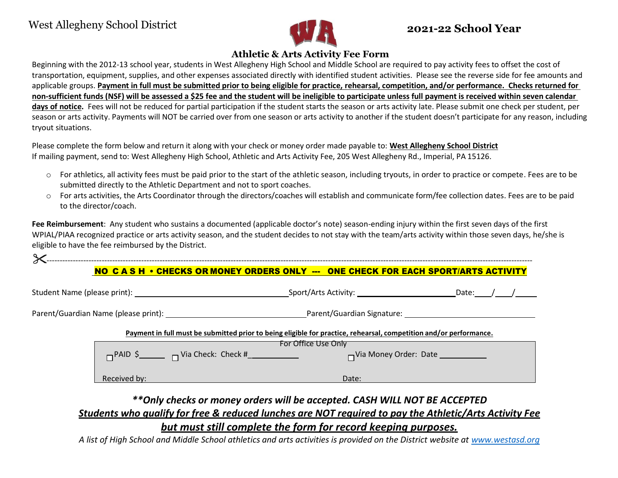

# **Athletic & Arts Activity Fee Form**

Beginning with the 2012-13 school year, students in West Allegheny High School and Middle School are required to pay activity fees to offset the cost of transportation, equipment, supplies, and other expenses associated directly with identified student activities. Please see the reverse side for fee amounts and applicable groups. Payment in full must be submitted prior to being eligible for practice, rehearsal, competition, and/or performance. Checks returned for non-sufficient funds (NSF) will be assessed a \$25 fee and the student will be ineligible to participate unless full payment is received within seven calendar **days of notice.** Fees will not be reduced for partial participation if the student starts the season or arts activity late. Please submit one check per student, per season or arts activity. Payments will NOT be carried over from one season or arts activity to another if the student doesn't participate for any reason, including tryout situations.

Please complete the form below and return it along with your check or money order made payable to: **West Allegheny School District** If mailing payment, send to: West Allegheny High School, Athletic and Arts Activity Fee, 205 West Allegheny Rd., Imperial, PA 15126.

- o For athletics, all activity fees must be paid prior to the start of the athletic season, including tryouts, in order to practice or compete. Fees are to be submitted directly to the Athletic Department and not to sport coaches.
- o For arts activities, the Arts Coordinator through the directors/coaches will establish and communicate form/fee collection dates. Fees are to be paid to the director/coach.

**Fee Reimbursement**: Any student who sustains a documented (applicable doctor's note) season-ending injury within the first seven days of the first WPIAL/PIAA recognized practice or arts activity season, and the student decides to not stay with the team/arts activity within those seven days, he/she is eligible to have the fee reimbursed by the District.

----------------------------------------------------------------------------------------------------------------------------------------------------------------------------------------- NO C A S H • CHECKS OR MONEY ORDERS ONLY --- ONE CHECK FOR EACH SPORT/ARTS ACTIVITY

|  |                                                                                                                                           |       | Date:                                                                                                                                                                                                                         |  |
|--|-------------------------------------------------------------------------------------------------------------------------------------------|-------|-------------------------------------------------------------------------------------------------------------------------------------------------------------------------------------------------------------------------------|--|
|  |                                                                                                                                           |       | Parent/Guardian Signature: National Action of the Contract of the Contract of the Contract of the Contract of the Contract of the Contract of the Contract of the Contract of the Contract of the Contract of the Contract of |  |
|  | Payment in full must be submitted prior to being eligible for practice, rehearsal, competition and/or performance.<br>For Office Use Only |       |                                                                                                                                                                                                                               |  |
|  |                                                                                                                                           |       |                                                                                                                                                                                                                               |  |
|  | Received by:                                                                                                                              | Date: |                                                                                                                                                                                                                               |  |

# *\*\*Only checks or money orders will be accepted. CASH WILL NOT BE ACCEPTED*

## *Students who qualify for free & reduced lunches are NOT required to pay the Athletic/Arts Activity Fee*

*but must still complete the form for record keeping purposes.*

A list of High School and Middle School athletics and arts activities is provided on the District website at [www.westasd.org](http://www.westasd.org/)